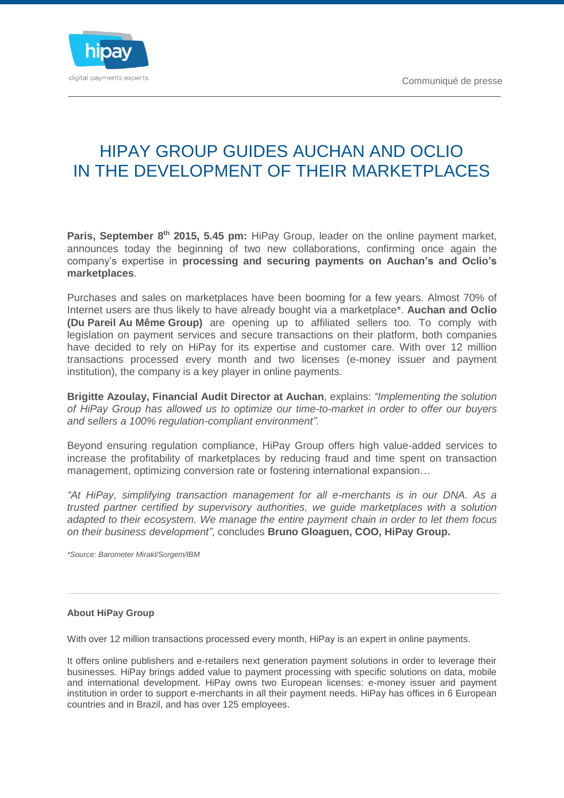

## HIPAY GROUP GUIDES AUCHAN AND OCLIO IN THE DEVELOPMENT OF THEIR MARKETPLACES

Paris, September 8<sup>th</sup> 2015, 5.45 pm: HiPay Group, leader on the online payment market, announces today the beginning of two new collaborations, confirming once again the company's expertise in **processing and securing payments on Auchan's and Oclio's marketplaces**.

Purchases and sales on marketplaces have been booming for a few years. Almost 70% of Internet users are thus likely to have already bought via a marketplace\*. **Auchan and Oclio (Du Pareil Au Même Group)** are opening up to affiliated sellers too. To comply with legislation on payment services and secure transactions on their platform, both companies have decided to rely on HiPay for its expertise and customer care. With over 12 million transactions processed every month and two licenses (e-money issuer and payment institution), the company is a key player in online payments.

**Brigitte Azoulay, Financial Audit Director at Auchan**, explains: *"Implementing the solution of HiPay Group has allowed us to optimize our time-to-market in order to offer our buyers and sellers a 100% regulation-compliant environment".*

Beyond ensuring regulation compliance, HiPay Group offers high value-added services to increase the profitability of marketplaces by reducing fraud and time spent on transaction management, optimizing conversion rate or fostering international expansion…

*"At HiPay, simplifying transaction management for all e-merchants is in our DNA. As a trusted partner certified by supervisory authorities, we guide marketplaces with a solution adapted to their ecosystem. We manage the entire payment chain in order to let them focus on their business development"*, concludes **Bruno Gloaguen, COO, HiPay Group.**

*\*Source: Barometer Mirakl/Sorgem/lBM*

## **About HiPay Group**

With over 12 million transactions processed every month, HiPay is an expert in online payments.

It offers online publishers and e-retailers next generation payment solutions in order to leverage their businesses. HiPay brings added value to payment processing with specific solutions on data, mobile and international development. HiPay owns two European licenses: e-money issuer and payment institution in order to support e-merchants in all their payment needs. HiPay has offices in 6 European countries and in Brazil, and has over 125 employees.